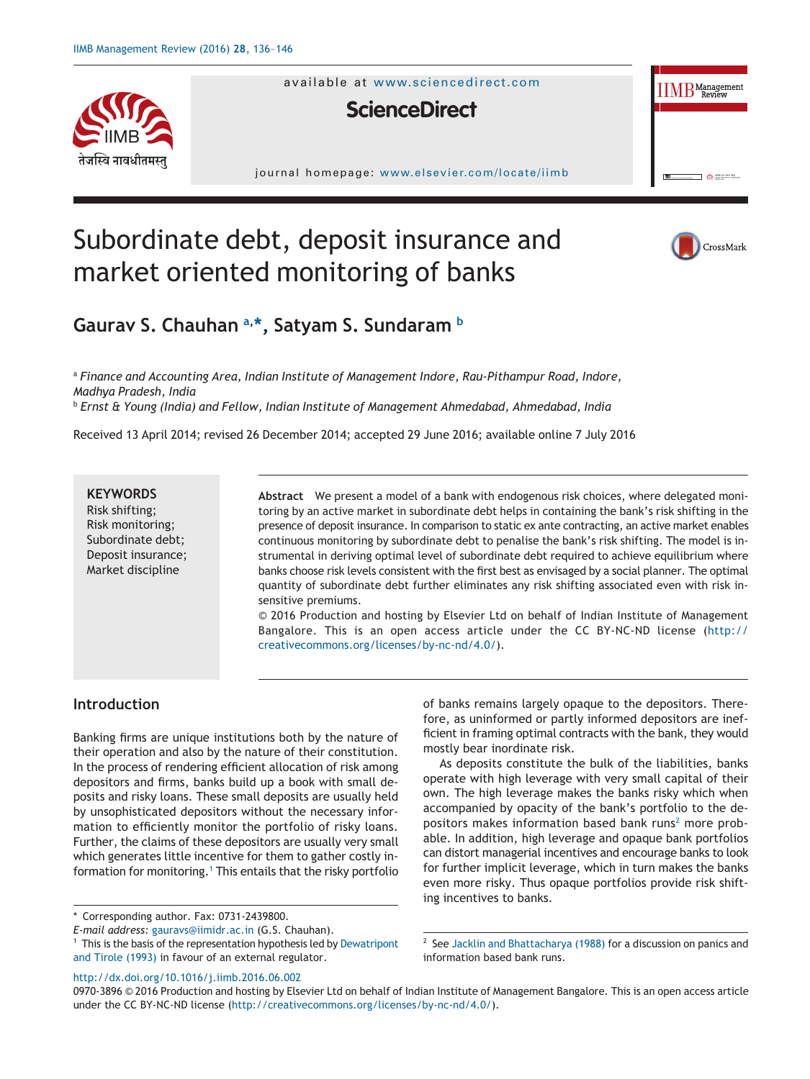

available at www.sciencedirect.com

# **ScienceDirect**

journal homepage: [www.elsevier.com/locate/iimb](http://www.elsevier.com/locate/iimb)



**IIMB** Nanagement

# Subordinate debt, deposit insurance and market oriented monitoring of banks



# **Gaurav S. Chauhan [a,](#page-0-0) [\\*,](#page-0-1) Satyam S. Sundaram [b](#page-0-2)**

<span id="page-0-0"></span><sup>a</sup> *Finance and Accounting Area, Indian Institute of Management Indore, Rau-Pithampur Road, Indore, Madhya Pradesh, India*

<span id="page-0-2"></span><sup>b</sup> *Ernst & Young (India) and Fellow, Indian Institute of Management Ahmedabad, Ahmedabad, India*

Received 13 April 2014; revised 26 December 2014; accepted 29 June 2016; available online 7 July 2016

#### **KEYWORDS**

Risk shifting; Risk monitoring; Subordinate debt; Deposit insurance; Market discipline

**Abstract** We present a model of a bank with endogenous risk choices, where delegated monitoring by an active market in subordinate debt helps in containing the bank's risk shifting in the presence of deposit insurance. In comparison to static ex ante contracting, an active market enables continuous monitoring by subordinate debt to penalise the bank's risk shifting. The model is instrumental in deriving optimal level of subordinate debt required to achieve equilibrium where banks choose risk levels consistent with the first best as envisaged by a social planner. The optimal quantity of subordinate debt further eliminates any risk shifting associated even with risk insensitive premiums.

© 2016 Production and hosting by Elsevier Ltd on behalf of Indian Institute of Management Bangalore. This is an open access article under the CC BY-NC-ND license (http:// creativecommons.org/licenses/by-nc-nd/4.0/).

## **Introduction**

Banking firms are unique institutions both by the nature of their operation and also by the nature of their constitution. In the process of rendering efficient allocation of risk among depositors and firms, banks build up a book with small deposits and risky loans. These small deposits are usually held by unsophisticated depositors without the necessary information to efficiently monitor the portfolio of risky loans. Further, the claims of these depositors are usually very small which generates little incentive for them to gather costly information for monitoring.<sup>1</sup> This entails that the risky portfolio of banks remains largely opaque to the depositors. Therefore, as uninformed or partly informed depositors are inefficient in framing optimal contracts with the bank, they would mostly bear inordinate risk.

As deposits constitute the bulk of the liabilities, banks operate with high leverage with very small capital of their own. The high leverage makes the banks risky which when accompanied by opacity of the bank's portfolio to the depositors makes information based bank runs<sup>2</sup> more probable. In addition, high leverage and opaque bank portfolios can distort managerial incentives and encourage banks to look for further implicit leverage, which in turn makes the banks even more risky. Thus opaque portfolios provide risk shifting incentives to banks.

0970-3896 © 2016 Production and hosting by Elsevier Ltd on behalf of Indian Institute of Management Bangalore. This is an open access article under the CC BY-NC-ND license (http://creativecommons.org/licenses/by-nc-nd/4.0/).

<span id="page-0-1"></span><sup>\*</sup> Corresponding author. Fax: 0731-2439800.

<span id="page-0-3"></span>*E-mail address:* [gauravs@iimidr.ac.in](mailto:gauravs@iimidr.ac.in) (G.S. Chauhan).

 $1$  This is the basis of the representation hypothesis led by [Dewatripont](#page-10-0) [and Tirole \(1993\)](#page-10-0) in favour of an external regulator.

<span id="page-0-4"></span><sup>&</sup>lt;sup>2</sup> See [Jacklin and Bhattacharya \(1988\)](#page-10-1) for a discussion on panics and information based bank runs.

http://dx.doi.org/10.1016/j.iimb.2016.06.002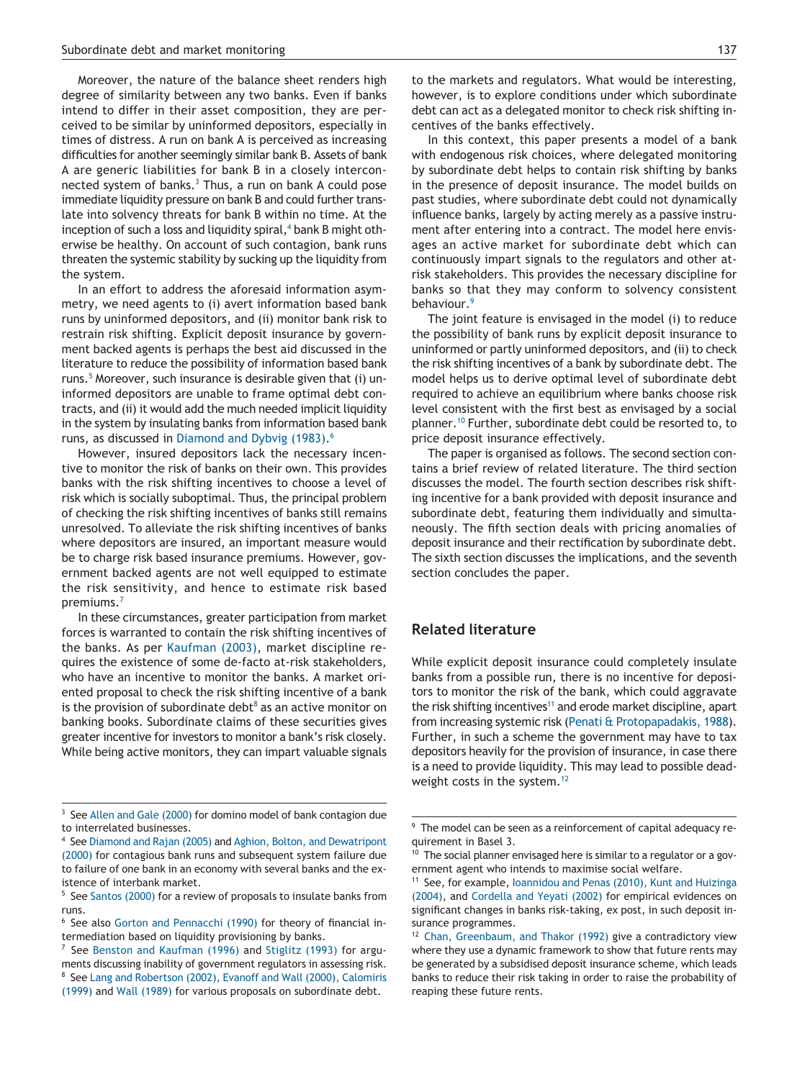Moreover, the nature of the balance sheet renders high degree of similarity between any two banks. Even if banks intend to differ in their asset composition, they are perceived to be similar by uninformed depositors, especially in times of distress. A run on bank A is perceived as increasing difficulties for another seemingly similar bank B. Assets of bank A are generic liabilities for bank B in a closely interconnected system of banks.<sup>3</sup> Thus, a run on bank A could pose immediate liquidity pressure on bank B and could further translate into solvency threats for bank B within no time. At the inception of such a loss and liquidity spiral, $4$  bank B might otherwise be healthy. On account of such contagion, bank runs threaten the systemic stability by sucking up the liquidity from the system.

In an effort to address the aforesaid information asymmetry, we need agents to (i) avert information based bank runs by uninformed depositors, and (ii) monitor bank risk to restrain risk shifting. Explicit deposit insurance by government backed agents is perhaps the best aid discussed in the literature to reduce the possibility of information based bank runs[.5](#page-1-2) Moreover, such insurance is desirable given that (i) uninformed depositors are unable to frame optimal debt contracts, and (ii) it would add the much needed implicit liquidity in the system by insulating banks from information based bank runs, as discussed in Diamond and Dybyig (1983).<sup>[6](#page-1-3)</sup>

However, insured depositors lack the necessary incentive to monitor the risk of banks on their own. This provides banks with the risk shifting incentives to choose a level of risk which is socially suboptimal. Thus, the principal problem of checking the risk shifting incentives of banks still remains unresolved. To alleviate the risk shifting incentives of banks where depositors are insured, an important measure would be to charge risk based insurance premiums. However, government backed agents are not well equipped to estimate the risk sensitivity, and hence to estimate risk based premiums.<sup>7</sup>

In these circumstances, greater participation from market forces is warranted to contain the risk shifting incentives of the banks. As per [Kaufman \(2003\),](#page-10-3) market discipline requires the existence of some de-facto at-risk stakeholders, who have an incentive to monitor the banks. A market oriented proposal to check the risk shifting incentive of a bank is the provision of subordinate debt $^8$  as an active monitor on banking books. Subordinate claims of these securities gives greater incentive for investors to monitor a bank's risk closely. While being active monitors, they can impart valuable signals to the markets and regulators. What would be interesting, however, is to explore conditions under which subordinate debt can act as a delegated monitor to check risk shifting incentives of the banks effectively.

In this context, this paper presents a model of a bank with endogenous risk choices, where delegated monitoring by subordinate debt helps to contain risk shifting by banks in the presence of deposit insurance. The model builds on past studies, where subordinate debt could not dynamically influence banks, largely by acting merely as a passive instrument after entering into a contract. The model here envisages an active market for subordinate debt which can continuously impart signals to the regulators and other atrisk stakeholders. This provides the necessary discipline for banks so that they may conform to solvency consistent behaviour[.9](#page-1-6)

The joint feature is envisaged in the model (i) to reduce the possibility of bank runs by explicit deposit insurance to uninformed or partly uninformed depositors, and (ii) to check the risk shifting incentives of a bank by subordinate debt. The model helps us to derive optimal level of subordinate debt required to achieve an equilibrium where banks choose risk level consistent with the first best as envisaged by a social planner[.10](#page-1-7) Further, subordinate debt could be resorted to, to price deposit insurance effectively.

The paper is organised as follows. The second section contains a brief review of related literature. The third section discusses the model. The fourth section describes risk shifting incentive for a bank provided with deposit insurance and subordinate debt, featuring them individually and simultaneously. The fifth section deals with pricing anomalies of deposit insurance and their rectification by subordinate debt. The sixth section discusses the implications, and the seventh section concludes the paper.

# **Related literature**

While explicit deposit insurance could completely insulate banks from a possible run, there is no incentive for depositors to monitor the risk of the bank, which could aggravate the risk shifting incentives<sup>11</sup> and erode market discipline, apart from increasing systemic risk [\(Penati & Protopapadakis, 1988\)](#page-10-4). Further, in such a scheme the government may have to tax depositors heavily for the provision of insurance, in case there is a need to provide liquidity. This may lead to possible deadweight costs in the system.<sup>12</sup>

<span id="page-1-0"></span><sup>&</sup>lt;sup>3</sup> See [Allen and Gale \(2000\)](#page-10-5) for domino model of bank contagion due to interrelated businesses.

<span id="page-1-1"></span><sup>4</sup> See [Diamond and Rajan \(2005\)](#page-10-6) and [Aghion, Bolton, and Dewatripont](#page-10-7) [\(2000\)](#page-10-7) for contagious bank runs and subsequent system failure due to failure of one bank in an economy with several banks and the existence of interbank market.

<span id="page-1-2"></span><sup>&</sup>lt;sup>5</sup> See [Santos \(2000\)](#page-10-8) for a review of proposals to insulate banks from runs.

<span id="page-1-3"></span><sup>&</sup>lt;sup>6</sup> See also [Gorton and Pennacchi \(1990\)](#page-10-9) for theory of financial intermediation based on liquidity provisioning by banks.

<span id="page-1-4"></span><sup>&</sup>lt;sup>7</sup> See [Benston and Kaufman \(1996\)](#page-10-10) and [Stiglitz \(1993\)](#page-10-11) for arguments discussing inability of government regulators in assessing risk.

<span id="page-1-5"></span><sup>&</sup>lt;sup>8</sup> See [Lang and Robertson \(2002\), Evanoff and Wall \(2000\), Calomiris](#page-10-12)

[<sup>\(1999\)</sup>](#page-10-12) and [Wall \(1989\)](#page-10-13) for various proposals on subordinate debt.

<span id="page-1-6"></span>The model can be seen as a reinforcement of capital adequacy requirement in Basel 3.

<span id="page-1-7"></span> $10$  The social planner envisaged here is similar to a regulator or a government agent who intends to maximise social welfare.

<span id="page-1-8"></span><sup>11</sup> See, for example, [Ioannidou and Penas \(2010\), Kunt and Huizinga](#page-10-14) [\(2004\),](#page-10-14) and [Cordella and Yeyati \(2002\)](#page-10-15) for empirical evidences on significant changes in banks risk-taking, ex post, in such deposit insurance programmes.

<span id="page-1-9"></span><sup>&</sup>lt;sup>12</sup> [Chan, Greenbaum, and Thakor \(1992\)](#page-10-16) give a contradictory view where they use a dynamic framework to show that future rents may be generated by a subsidised deposit insurance scheme, which leads banks to reduce their risk taking in order to raise the probability of reaping these future rents.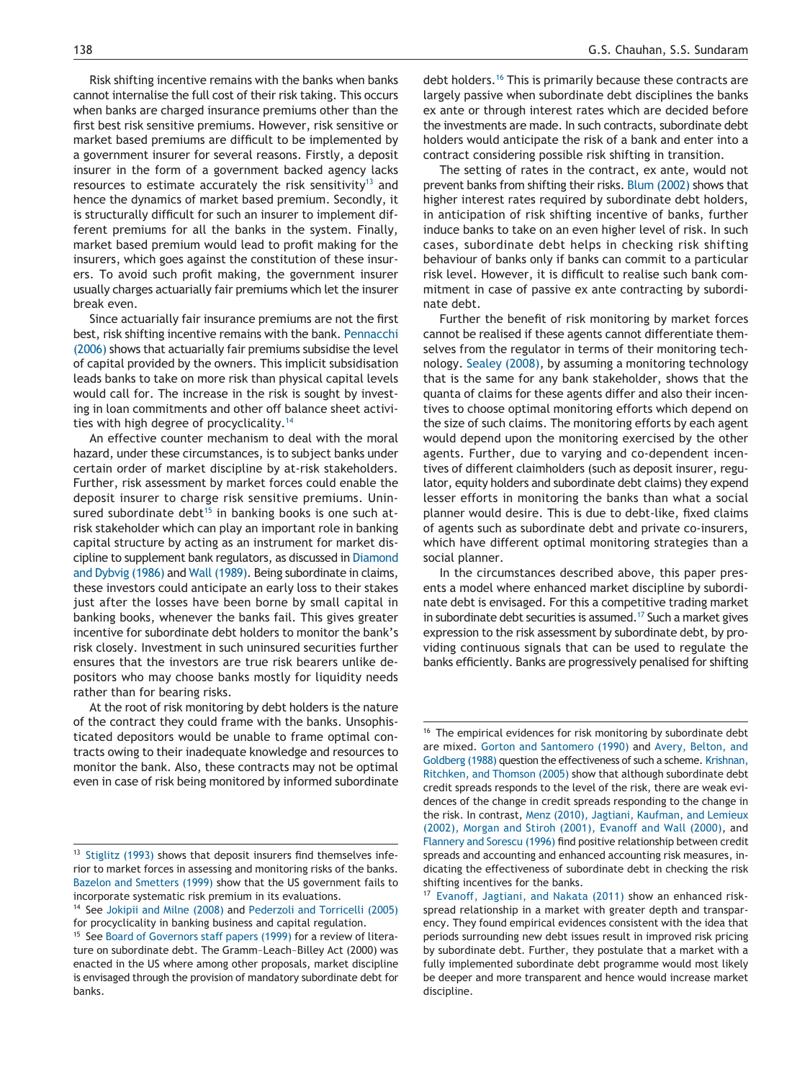Risk shifting incentive remains with the banks when banks cannot internalise the full cost of their risk taking. This occurs when banks are charged insurance premiums other than the first best risk sensitive premiums. However, risk sensitive or market based premiums are difficult to be implemented by a government insurer for several reasons. Firstly, a deposit insurer in the form of a government backed agency lacks resources to estimate accurately the risk sensitivity<sup>13</sup> and hence the dynamics of market based premium. Secondly, it is structurally difficult for such an insurer to implement different premiums for all the banks in the system. Finally, market based premium would lead to profit making for the insurers, which goes against the constitution of these insurers. To avoid such profit making, the government insurer usually charges actuarially fair premiums which let the insurer break even.

Since actuarially fair insurance premiums are not the first best, risk shifting incentive remains with the bank. [Pennacchi](#page-10-17) [\(2006\)](#page-10-17) shows that actuarially fair premiums subsidise the level of capital provided by the owners. This implicit subsidisation leads banks to take on more risk than physical capital levels would call for. The increase in the risk is sought by investing in loan commitments and other off balance sheet activities with high degree of procyclicality[.14](#page-2-1)

An effective counter mechanism to deal with the moral hazard, under these circumstances, is to subject banks under certain order of market discipline by at-risk stakeholders. Further, risk assessment by market forces could enable the deposit insurer to charge risk sensitive premiums. Uninsured subordinate debt $15$  in banking books is one such atrisk stakeholder which can play an important role in banking capital structure by acting as an instrument for market discipline to supplement bank regulators, as discussed in [Diamond](#page-10-18) [and Dybvig \(1986\)](#page-10-18) and [Wall \(1989\).](#page-10-13) Being subordinate in claims, these investors could anticipate an early loss to their stakes just after the losses have been borne by small capital in banking books, whenever the banks fail. This gives greater incentive for subordinate debt holders to monitor the bank's risk closely. Investment in such uninsured securities further ensures that the investors are true risk bearers unlike depositors who may choose banks mostly for liquidity needs rather than for bearing risks.

At the root of risk monitoring by debt holders is the nature of the contract they could frame with the banks. Unsophisticated depositors would be unable to frame optimal contracts owing to their inadequate knowledge and resources to monitor the bank. Also, these contracts may not be optimal even in case of risk being monitored by informed subordinate

debt holders[.16](#page-2-3) This is primarily because these contracts are largely passive when subordinate debt disciplines the banks ex ante or through interest rates which are decided before the investments are made. In such contracts, subordinate debt holders would anticipate the risk of a bank and enter into a contract considering possible risk shifting in transition.

The setting of rates in the contract, ex ante*,* would not prevent banks from shifting their risks. [Blum \(2002\)](#page-10-19) shows that higher interest rates required by subordinate debt holders, in anticipation of risk shifting incentive of banks, further induce banks to take on an even higher level of risk. In such cases, subordinate debt helps in checking risk shifting behaviour of banks only if banks can commit to a particular risk level. However, it is difficult to realise such bank commitment in case of passive ex ante contracting by subordinate debt.

Further the benefit of risk monitoring by market forces cannot be realised if these agents cannot differentiate themselves from the regulator in terms of their monitoring technology. [Sealey \(2008\),](#page-10-20) by assuming a monitoring technology that is the same for any bank stakeholder, shows that the quanta of claims for these agents differ and also their incentives to choose optimal monitoring efforts which depend on the size of such claims. The monitoring efforts by each agent would depend upon the monitoring exercised by the other agents. Further, due to varying and co-dependent incentives of different claimholders (such as deposit insurer, regulator, equity holders and subordinate debt claims) they expend lesser efforts in monitoring the banks than what a social planner would desire. This is due to debt-like, fixed claims of agents such as subordinate debt and private co-insurers, which have different optimal monitoring strategies than a social planner.

In the circumstances described above, this paper presents a model where enhanced market discipline by subordinate debt is envisaged. For this a competitive trading market in subordinate debt securities is assumed.<sup>17</sup> Such a market gives expression to the risk assessment by subordinate debt, by providing continuous signals that can be used to regulate the banks efficiently. Banks are progressively penalised for shifting

<span id="page-2-0"></span><sup>&</sup>lt;sup>13</sup> [Stiglitz \(1993\)](#page-10-11) shows that deposit insurers find themselves inferior to market forces in assessing and monitoring risks of the banks. [Bazelon and Smetters \(1999\)](#page-10-21) show that the US government fails to incorporate systematic risk premium in its evaluations.

<span id="page-2-1"></span><sup>14</sup> See [Jokipii and Milne \(2008\)](#page-10-22) and [Pederzoli and Torricelli \(2005\)](#page-10-23) for procyclicality in banking business and capital regulation.

<span id="page-2-2"></span><sup>&</sup>lt;sup>15</sup> See [Board of Governors staff papers \(1999\)](#page-10-24) for a review of literature on subordinate debt. The Gramm–Leach–Billey Act (2000) was enacted in the US where among other proposals, market discipline is envisaged through the provision of mandatory subordinate debt for banks.

<span id="page-2-3"></span><sup>&</sup>lt;sup>16</sup> The empirical evidences for risk monitoring by subordinate debt are mixed. [Gorton and Santomero \(1990\)](#page-10-25) and [Avery, Belton, and](#page-10-26) [Goldberg \(1988\)](#page-10-26) question the effectiveness of such a scheme. [Krishnan,](#page-10-27) [Ritchken, and Thomson \(2005\)](#page-10-27) show that although subordinate debt credit spreads responds to the level of the risk, there are weak evidences of the change in credit spreads responding to the change in the risk. In contrast, [Menz \(2010\), Jagtiani, Kaufman, and Lemieux](#page-10-28) [\(2002\), Morgan and Stiroh \(2001\), Evanoff and Wall \(2000\),](#page-10-28) and [Flannery and Sorescu \(1996\)](#page-10-29) find positive relationship between credit spreads and accounting and enhanced accounting risk measures, indicating the effectiveness of subordinate debt in checking the risk shifting incentives for the banks.

<span id="page-2-4"></span><sup>17</sup> [Evanoff, Jagtiani, and Nakata \(2011\)](#page-10-30) show an enhanced riskspread relationship in a market with greater depth and transparency. They found empirical evidences consistent with the idea that periods surrounding new debt issues result in improved risk pricing by subordinate debt. Further, they postulate that a market with a fully implemented subordinate debt programme would most likely be deeper and more transparent and hence would increase market discipline.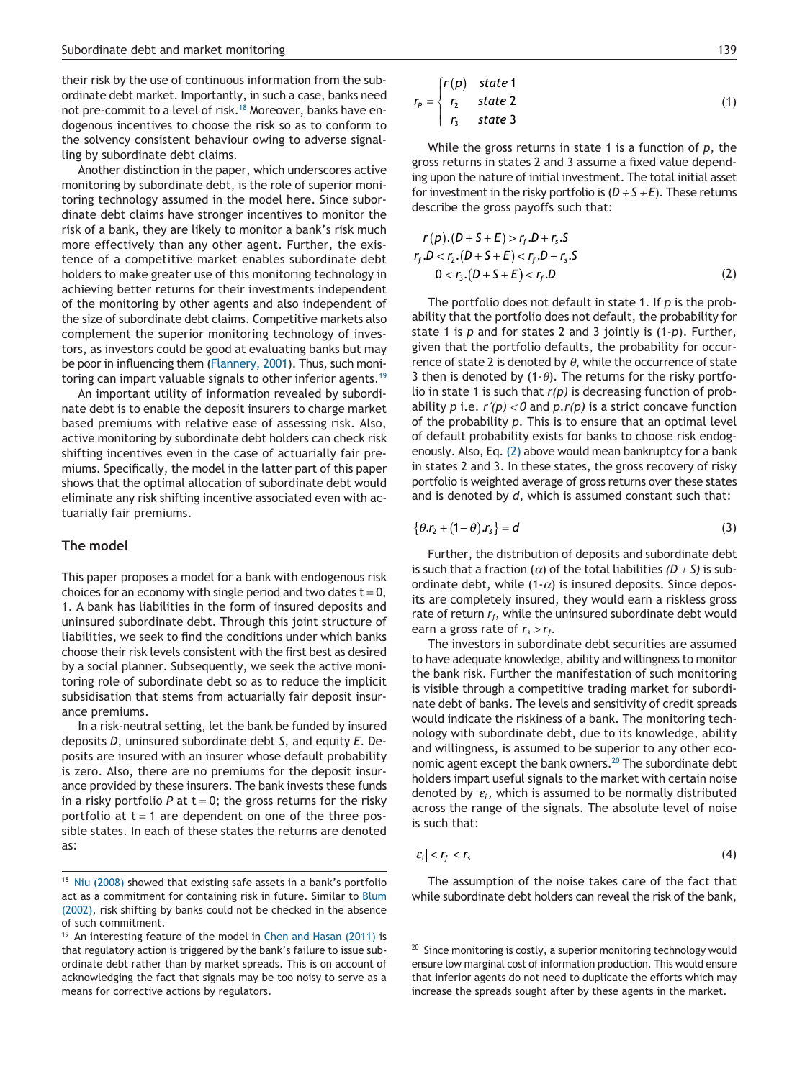their risk by the use of continuous information from the subordinate debt market. Importantly, in such a case, banks need not pre-commit to a level of risk.<sup>18</sup> Moreover, banks have endogenous incentives to choose the risk so as to conform to the solvency consistent behaviour owing to adverse signalling by subordinate debt claims.

Another distinction in the paper, which underscores active monitoring by subordinate debt, is the role of superior monitoring technology assumed in the model here. Since subordinate debt claims have stronger incentives to monitor the risk of a bank, they are likely to monitor a bank's risk much more effectively than any other agent. Further, the existence of a competitive market enables subordinate debt holders to make greater use of this monitoring technology in achieving better returns for their investments independent of the monitoring by other agents and also independent of the size of subordinate debt claims. Competitive markets also complement the superior monitoring technology of investors, as investors could be good at evaluating banks but may be poor in influencing them [\(Flannery, 2001\)](#page-10-31). Thus, such monitoring can impart valuable signals to other inferior agents.<sup>19</sup>

An important utility of information revealed by subordinate debt is to enable the deposit insurers to charge market based premiums with relative ease of assessing risk. Also, active monitoring by subordinate debt holders can check risk shifting incentives even in the case of actuarially fair premiums. Specifically, the model in the latter part of this paper shows that the optimal allocation of subordinate debt would eliminate any risk shifting incentive associated even with actuarially fair premiums.

#### **The model**

This paper proposes a model for a bank with endogenous risk choices for an economy with single period and two dates  $t = 0$ , 1. A bank has liabilities in the form of insured deposits and uninsured subordinate debt. Through this joint structure of liabilities, we seek to find the conditions under which banks choose their risk levels consistent with the first best as desired by a social planner. Subsequently, we seek the active monitoring role of subordinate debt so as to reduce the implicit subsidisation that stems from actuarially fair deposit insurance premiums.

In a risk-neutral setting, let the bank be funded by insured deposits *D*, uninsured subordinate debt *S*, and equity *E*. Deposits are insured with an insurer whose default probability is zero. Also, there are no premiums for the deposit insurance provided by these insurers. The bank invests these funds in a risky portfolio  $P$  at  $t = 0$ ; the gross returns for the risky portfolio at  $t = 1$  are dependent on one of the three possible states. In each of these states the returns are denoted as:

$$
r_{p} = \begin{cases} r(p) & \text{state 1} \\ r_{2} & \text{state 2} \\ r_{3} & \text{state 3} \end{cases}
$$
 (1)

While the gross returns in state 1 is a function of *p*, the gross returns in states 2 and 3 assume a fixed value depending upon the nature of initial investment. The total initial asset for investment in the risky portfolio is  $(D + S + E)$ . These returns describe the gross payoffs such that:

<span id="page-3-2"></span>
$$
r(p).(D+S+E) > r_f.D + r_s.S
$$
  
\n
$$
r_f.D < r_2.(D+S+E) < r_f.D + r_s.S
$$
  
\n
$$
0 < r_3.(D+S+E) < r_f.D
$$
 (2)

The portfolio does not default in state 1. If *p* is the probability that the portfolio does not default, the probability for state 1 is *p* and for states 2 and 3 jointly is (1-*p*). Further, given that the portfolio defaults, the probability for occurrence of state 2 is denoted by *θ*, while the occurrence of state 3 then is denoted by (1-*θ*). The returns for the risky portfolio in state 1 is such that *r(p)* is decreasing function of probability *p* i.e. *r′(p) < 0* and *p.r(p)* is a strict concave function of the probability *p*. This is to ensure that an optimal level of default probability exists for banks to choose risk endogenously. Also, Eq. [\(2\)](#page-3-2) above would mean bankruptcy for a bank in states 2 and 3. In these states, the gross recovery of risky portfolio is weighted average of gross returns over these states and is denoted by *d*, which is assumed constant such that:

<span id="page-3-4"></span>
$$
\{\theta.r_2+(1-\theta).r_3\}=d\tag{3}
$$

Further, the distribution of deposits and subordinate debt is such that a fraction  $(\alpha)$  of the total liabilities  $(D + S)$  is subordinate debt, while  $(1-\alpha)$  is insured deposits. Since deposits are completely insured, they would earn a riskless gross rate of return  $r_f$ , while the uninsured subordinate debt would earn a gross rate of  $r_s > r_f$ .

The investors in subordinate debt securities are assumed to have adequate knowledge, ability and willingness to monitor the bank risk. Further the manifestation of such monitoring is visible through a competitive trading market for subordinate debt of banks. The levels and sensitivity of credit spreads would indicate the riskiness of a bank. The monitoring technology with subordinate debt, due to its knowledge, ability and willingness, is assumed to be superior to any other economic agent except the bank owners[.20](#page-3-3) The subordinate debt holders impart useful signals to the market with certain noise denoted by  $\varepsilon_i$ , which is assumed to be normally distributed across the range of the signals. The absolute level of noise is such that:

$$
|\varepsilon_i| < r_f < r_s \tag{4}
$$

The assumption of the noise takes care of the fact that while subordinate debt holders can reveal the risk of the bank,

<span id="page-3-0"></span><sup>&</sup>lt;sup>18</sup> [Niu \(2008\)](#page-10-32) showed that existing safe assets in a bank's portfolio act as a commitment for containing risk in future. Similar to [Blum](#page-10-19) [\(2002\),](#page-10-19) risk shifting by banks could not be checked in the absence of such commitment.

<span id="page-3-1"></span><sup>&</sup>lt;sup>19</sup> An interesting feature of the model in [Chen and Hasan \(2011\)](#page-10-33) is that regulatory action is triggered by the bank's failure to issue subordinate debt rather than by market spreads. This is on account of acknowledging the fact that signals may be too noisy to serve as a means for corrective actions by regulators.

<span id="page-3-3"></span> $20$  Since monitoring is costly, a superior monitoring technology would ensure low marginal cost of information production. This would ensure that inferior agents do not need to duplicate the efforts which may increase the spreads sought after by these agents in the market.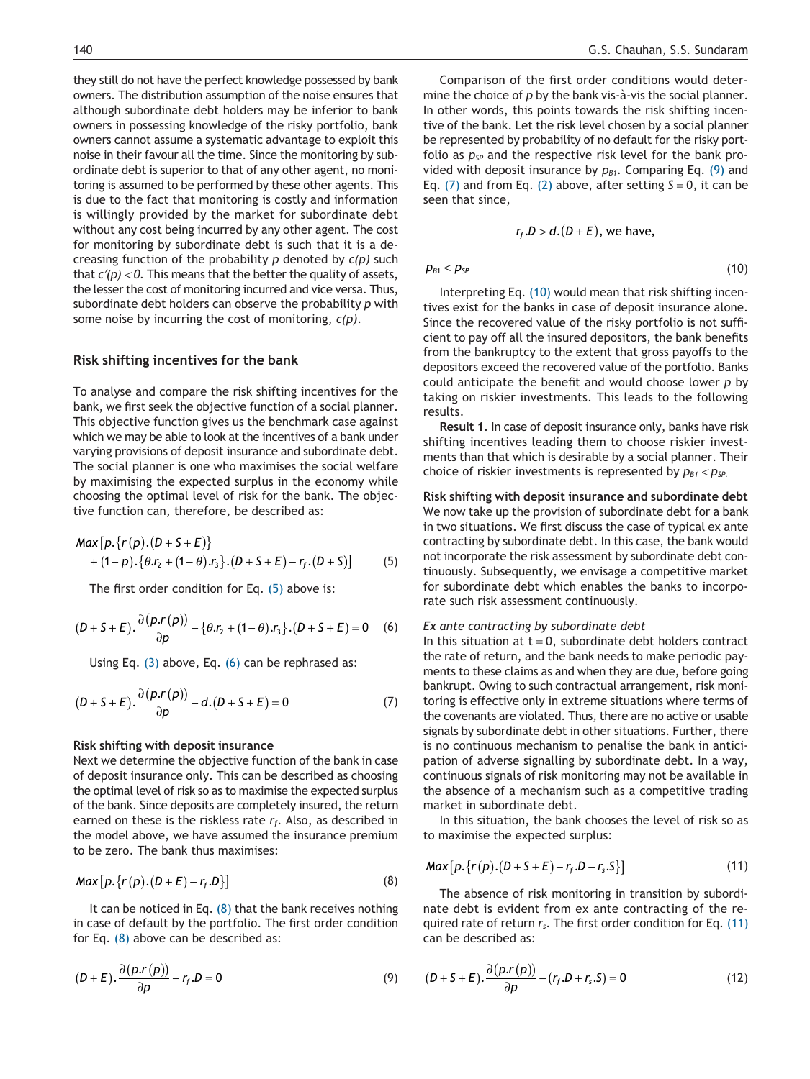they still do not have the perfect knowledge possessed by bank owners. The distribution assumption of the noise ensures that although subordinate debt holders may be inferior to bank owners in possessing knowledge of the risky portfolio, bank owners cannot assume a systematic advantage to exploit this noise in their favour all the time. Since the monitoring by subordinate debt is superior to that of any other agent, no monitoring is assumed to be performed by these other agents. This is due to the fact that monitoring is costly and information is willingly provided by the market for subordinate debt without any cost being incurred by any other agent. The cost for monitoring by subordinate debt is such that it is a decreasing function of the probability *p* denoted by *c(p)* such that *c′(p) < 0.* This means that the better the quality of assets, the lesser the cost of monitoring incurred and vice versa. Thus, subordinate debt holders can observe the probability *p* with some noise by incurring the cost of monitoring, *c(p).*

#### **Risk shifting incentives for the bank**

To analyse and compare the risk shifting incentives for the bank, we first seek the objective function of a social planner. This objective function gives us the benchmark case against which we may be able to look at the incentives of a bank under varying provisions of deposit insurance and subordinate debt. The social planner is one who maximises the social welfare by maximising the expected surplus in the economy while choosing the optimal level of risk for the bank. The objective function can, therefore, be described as:

<span id="page-4-0"></span>
$$
Max[p.\{r(p).(D+S+E)\}\n+ (1-p).\{ \theta.r_2 + (1-\theta).r_3\}.(D+S+E) - r_f.(D+S)]
$$
\n(5)

The first order condition for Eq. [\(5\)](#page-4-0) above is:

<span id="page-4-1"></span>
$$
(D+S+E)\cdot \frac{\partial (p.r(p))}{\partial p} - \{\theta.r_2 + (1-\theta).r_3\} \cdot (D+S+E) = 0
$$
 (6)

Using Eq. [\(3\)](#page-3-4) above, Eq. [\(6\)](#page-4-1) can be rephrased as:

<span id="page-4-4"></span>
$$
(D+S+E)\cdot\frac{\partial (p.r(p))}{\partial p}-d.(D+S+E)=0
$$
 (7)

#### **Risk shifting with deposit insurance**

Next we determine the objective function of the bank in case of deposit insurance only. This can be described as choosing the optimal level of risk so as to maximise the expected surplus of the bank. Since deposits are completely insured, the return earned on these is the riskless rate  $r_f$ . Also, as described in the model above, we have assumed the insurance premium to be zero. The bank thus maximises:

<span id="page-4-2"></span>
$$
Max[p.\{r(p).(D+E)-r_f.D\}] \qquad (8)
$$

It can be noticed in Eq. [\(8\)](#page-4-2) that the bank receives nothing in case of default by the portfolio. The first order condition for Eq. [\(8\)](#page-4-2) above can be described as:

<span id="page-4-3"></span>
$$
(D+E)\cdot\frac{\partial(p.r(p))}{\partial p}-r_f.D=0
$$
\n(9)

Comparison of the first order conditions would determine the choice of *p* by the bank vis-à-vis the social planner. In other words, this points towards the risk shifting incentive of the bank. Let the risk level chosen by a social planner be represented by probability of no default for the risky portfolio as  $p_{SP}$  and the respective risk level for the bank provided with deposit insurance by  $p_{B1}$ . Comparing Eq. [\(9\)](#page-4-3) and Eq. [\(7\)](#page-4-4) and from Eq. [\(2\)](#page-3-2) above, after setting  $S = 0$ , it can be seen that since,

$$
r_f.D > d.(D + E)
$$
, we have,

<span id="page-4-5"></span>
$$
p_{B1} < p_{SP} \tag{10}
$$

Interpreting Eq. [\(10\)](#page-4-5) would mean that risk shifting incentives exist for the banks in case of deposit insurance alone. Since the recovered value of the risky portfolio is not sufficient to pay off all the insured depositors, the bank benefits from the bankruptcy to the extent that gross payoffs to the depositors exceed the recovered value of the portfolio. Banks could anticipate the benefit and would choose lower *p* by taking on riskier investments. This leads to the following results.

**Result 1**. In case of deposit insurance only, banks have risk shifting incentives leading them to choose riskier investments than that which is desirable by a social planner. Their choice of riskier investments is represented by  $p_{B1} < p_{SP.}$ 

**Risk shifting with deposit insurance and subordinate debt** We now take up the provision of subordinate debt for a bank in two situations. We first discuss the case of typical ex ante contracting by subordinate debt. In this case, the bank would not incorporate the risk assessment by subordinate debt continuously. Subsequently, we envisage a competitive market for subordinate debt which enables the banks to incorporate such risk assessment continuously.

#### *Ex ante contracting by subordinate debt*

In this situation at  $t = 0$ , subordinate debt holders contract the rate of return, and the bank needs to make periodic payments to these claims as and when they are due, before going bankrupt. Owing to such contractual arrangement, risk monitoring is effective only in extreme situations where terms of the covenants are violated. Thus, there are no active or usable signals by subordinate debt in other situations. Further, there is no continuous mechanism to penalise the bank in anticipation of adverse signalling by subordinate debt. In a way, continuous signals of risk monitoring may not be available in the absence of a mechanism such as a competitive trading market in subordinate debt.

In this situation, the bank chooses the level of risk so as to maximise the expected surplus:

<span id="page-4-6"></span>
$$
Max[p.\{r(p).(D+S+E)-r_f.D-r_s.S\}] \tag{11}
$$

The absence of risk monitoring in transition by subordinate debt is evident from ex ante contracting of the required rate of return  $r_s$ . The first order condition for Eq.  $(11)$ can be described as:

<span id="page-4-7"></span>
$$
(D+S+E)\cdot\frac{\partial(p.r(p))}{\partial p} - (r_f.D+r_s.S) = 0
$$
\n(12)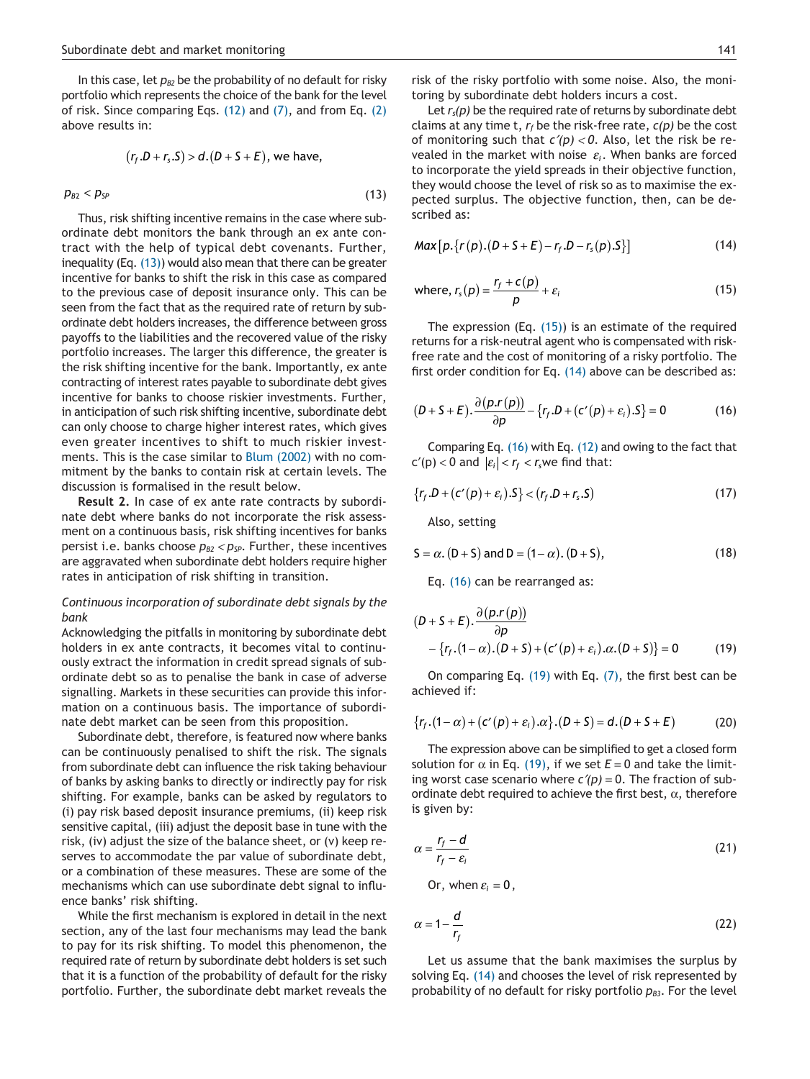In this case, let  $p_{B2}$  be the probability of no default for risky portfolio which represents the choice of the bank for the level of risk. Since comparing Eqs. [\(12\)](#page-4-7) and [\(7\),](#page-4-4) and from Eq. [\(2\)](#page-3-2) above results in:

$$
(r_f.D + r_s.S) > d.(D + S + E)
$$
, we have,  
 $p_{B2} < p_{SP}$  (13)

<span id="page-5-0"></span>Thus, risk shifting incentive remains in the case where subordinate debt monitors the bank through an ex ante contract with the help of typical debt covenants. Further, inequality (Eq. [\(13\)\)](#page-5-0) would also mean that there can be greater incentive for banks to shift the risk in this case as compared to the previous case of deposit insurance only. This can be seen from the fact that as the required rate of return by subordinate debt holders increases, the difference between gross payoffs to the liabilities and the recovered value of the risky portfolio increases. The larger this difference, the greater is the risk shifting incentive for the bank. Importantly, ex ante contracting of interest rates payable to subordinate debt gives incentive for banks to choose riskier investments. Further, in anticipation of such risk shifting incentive, subordinate debt can only choose to charge higher interest rates, which gives even greater incentives to shift to much riskier investments. This is the case similar to [Blum \(2002\)](#page-10-19) with no commitment by the banks to contain risk at certain levels. The discussion is formalised in the result below.

**Result 2.** In case of ex ante rate contracts by subordinate debt where banks do not incorporate the risk assessment on a continuous basis, risk shifting incentives for banks persist i.e. banks choose  $p_{B2} < p_{SP}$ . Further, these incentives are aggravated when subordinate debt holders require higher rates in anticipation of risk shifting in transition.

*Continuous incorporation of subordinate debt signals by the bank*

Acknowledging the pitfalls in monitoring by subordinate debt holders in ex ante contracts, it becomes vital to continuously extract the information in credit spread signals of subordinate debt so as to penalise the bank in case of adverse signalling. Markets in these securities can provide this information on a continuous basis. The importance of subordinate debt market can be seen from this proposition.

Subordinate debt, therefore, is featured now where banks can be continuously penalised to shift the risk. The signals from subordinate debt can influence the risk taking behaviour of banks by asking banks to directly or indirectly pay for risk shifting. For example, banks can be asked by regulators to (i) pay risk based deposit insurance premiums, (ii) keep risk sensitive capital, (iii) adjust the deposit base in tune with the risk, (iv) adjust the size of the balance sheet, or (v) keep reserves to accommodate the par value of subordinate debt, or a combination of these measures. These are some of the mechanisms which can use subordinate debt signal to influence banks' risk shifting.

While the first mechanism is explored in detail in the next section, any of the last four mechanisms may lead the bank to pay for its risk shifting. To model this phenomenon, the required rate of return by subordinate debt holders is set such that it is a function of the probability of default for the risky portfolio. Further, the subordinate debt market reveals the risk of the risky portfolio with some noise. Also, the monitoring by subordinate debt holders incurs a cost.

Let  $r_s(p)$  be the required rate of returns by subordinate debt claims at any time t, *rf* be the risk-free rate, *c(p)* be the cost of monitoring such that *c′(p) < 0*. Also, let the risk be revealed in the market with noise <sup>ε</sup>*i*. When banks are forced to incorporate the yield spreads in their objective function, they would choose the level of risk so as to maximise the expected surplus. The objective function, then, can be described as:

<span id="page-5-2"></span>
$$
Max[p.\{r(p).(D+S+E)-r_f.D-r_s(p).S\}] \qquad (14)
$$

<span id="page-5-1"></span>where, 
$$
r_s(p) = \frac{r_f + c(p)}{p} + \varepsilon_i
$$
 (15)

The expression (Eq.  $(15)$ ) is an estimate of the required returns for a risk-neutral agent who is compensated with riskfree rate and the cost of monitoring of a risky portfolio. The first order condition for Eq. [\(14\)](#page-5-2) above can be described as:

<span id="page-5-3"></span>
$$
(D+S+E)\cdot\frac{\partial(p.r(p))}{\partial p} - \{r_f.D + (c'(p) + \varepsilon_i).S\} = 0
$$
 (16)

Comparing Eq. [\(16\)](#page-5-3) with Eq. [\(12\)](#page-4-7) and owing to the fact that  $c'(p) < 0$  and  $|\varepsilon_i| < r_f < r_s$  we find that:

$$
\{r_f.D + (c'(p) + \varepsilon_i).S\} < (r_f.D + r_s.S) \tag{17}
$$

Also, setting

$$
S = \alpha. (D + S) \text{ and } D = (1 - \alpha). (D + S), \tag{18}
$$

Eq. [\(16\)](#page-5-3) can be rearranged as:

<span id="page-5-4"></span>
$$
(D+S+E)\cdot\frac{\partial(p.r(p))}{\partial p}
$$
  
 
$$
-\{r_f.(1-\alpha).(D+S)+(c'(p)+\varepsilon_i).\alpha.(D+S)\}=0
$$
 (19)

On comparing Eq. [\(19\)](#page-5-4) with Eq. [\(7\),](#page-4-4) the first best can be achieved if:

<span id="page-5-6"></span>
$$
\{r_f.(1-\alpha) + (c'(p) + \varepsilon_i).\alpha\}.\, (D + S) = d.(D + S + E) \tag{20}
$$

The expression above can be simplified to get a closed form solution for  $\alpha$  in Eq. [\(19\),](#page-5-4) if we set  $E = 0$  and take the limiting worst case scenario where *c′(p)* = 0. The fraction of subordinate debt required to achieve the first best,  $\alpha$ , therefore is given by:

<span id="page-5-5"></span>
$$
\alpha = \frac{r_f - d}{r_f - \varepsilon_i} \tag{21}
$$

Or, when  $\varepsilon_i = 0$ ,

$$
\alpha = 1 - \frac{d}{r_f} \tag{22}
$$

Let us assume that the bank maximises the surplus by solving Eq. [\(14\)](#page-5-2) and chooses the level of risk represented by probability of no default for risky portfolio  $p_{B3}$ . For the level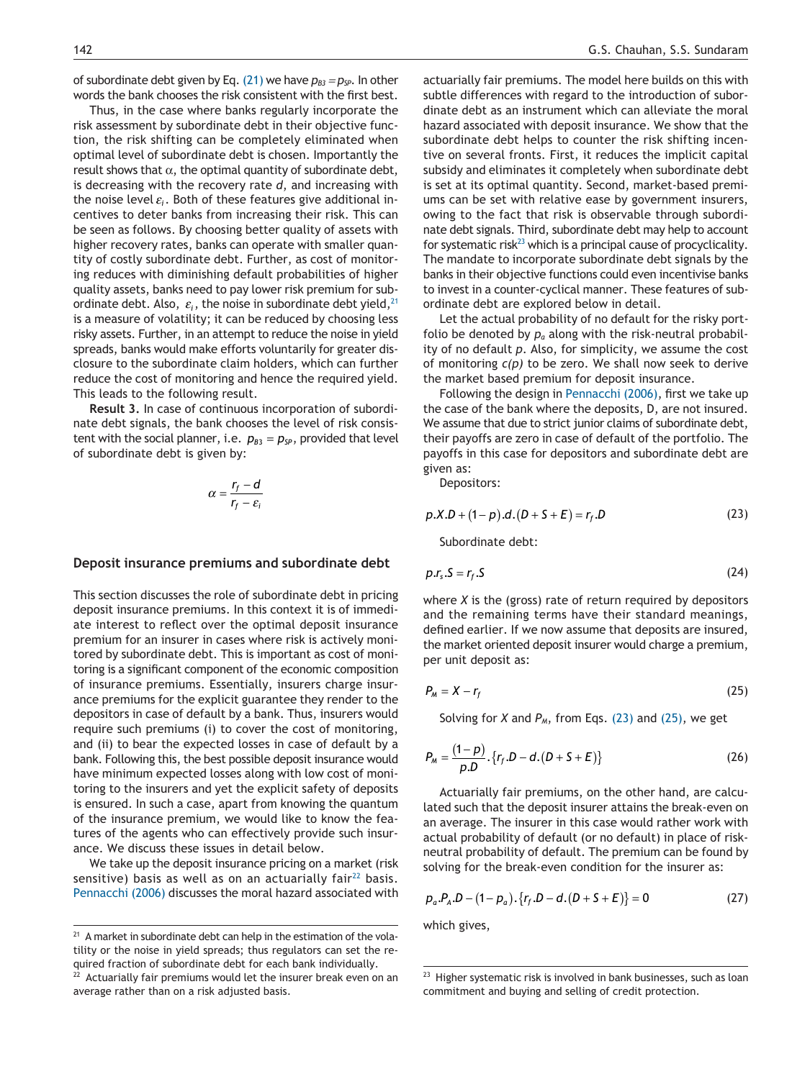of subordinate debt given by Eq. [\(21\)](#page-5-5) we have  $p_{B3} = p_{SP}$ . In other words the bank chooses the risk consistent with the first best.

Thus, in the case where banks regularly incorporate the risk assessment by subordinate debt in their objective function, the risk shifting can be completely eliminated when optimal level of subordinate debt is chosen. Importantly the result shows that  $\alpha$ , the optimal quantity of subordinate debt, is decreasing with the recovery rate *d*, and increasing with the noise level  $\varepsilon_i$ . Both of these features give additional incentives to deter banks from increasing their risk. This can be seen as follows. By choosing better quality of assets with higher recovery rates, banks can operate with smaller quantity of costly subordinate debt. Further, as cost of monitoring reduces with diminishing default probabilities of higher quality assets, banks need to pay lower risk premium for subordinate debt. Also,  $\varepsilon_i$ , the noise in subordinate debt yield,  $21$ is a measure of volatility; it can be reduced by choosing less risky assets. Further, in an attempt to reduce the noise in yield spreads, banks would make efforts voluntarily for greater disclosure to the subordinate claim holders, which can further reduce the cost of monitoring and hence the required yield. This leads to the following result.

**Result 3.** In case of continuous incorporation of subordinate debt signals, the bank chooses the level of risk consistent with the social planner, i.e.  $p_{B3} = p_{SP}$ , provided that level of subordinate debt is given by:

$$
\alpha = \frac{r_f - d}{r_f - \varepsilon_i}
$$

#### **Deposit insurance premiums and subordinate debt**

This section discusses the role of subordinate debt in pricing deposit insurance premiums. In this context it is of immediate interest to reflect over the optimal deposit insurance premium for an insurer in cases where risk is actively monitored by subordinate debt. This is important as cost of monitoring is a significant component of the economic composition of insurance premiums. Essentially, insurers charge insurance premiums for the explicit guarantee they render to the depositors in case of default by a bank. Thus, insurers would require such premiums (i) to cover the cost of monitoring, and (ii) to bear the expected losses in case of default by a bank. Following this, the best possible deposit insurance would have minimum expected losses along with low cost of monitoring to the insurers and yet the explicit safety of deposits is ensured. In such a case, apart from knowing the quantum of the insurance premium, we would like to know the features of the agents who can effectively provide such insurance. We discuss these issues in detail below.

We take up the deposit insurance pricing on a market (risk sensitive) basis as well as on an actuarially fair $^{22}$  basis. [Pennacchi \(2006\)](#page-10-17) discusses the moral hazard associated with actuarially fair premiums. The model here builds on this with subtle differences with regard to the introduction of subordinate debt as an instrument which can alleviate the moral hazard associated with deposit insurance. We show that the subordinate debt helps to counter the risk shifting incentive on several fronts. First, it reduces the implicit capital subsidy and eliminates it completely when subordinate debt is set at its optimal quantity. Second, market-based premiums can be set with relative ease by government insurers, owing to the fact that risk is observable through subordinate debt signals. Third, subordinate debt may help to account for systematic risk $^{23}$  which is a principal cause of procyclicality. The mandate to incorporate subordinate debt signals by the banks in their objective functions could even incentivise banks to invest in a counter-cyclical manner. These features of subordinate debt are explored below in detail.

Let the actual probability of no default for the risky portfolio be denoted by  $p_a$  along with the risk-neutral probability of no default *p*. Also, for simplicity, we assume the cost of monitoring *c(p)* to be zero. We shall now seek to derive the market based premium for deposit insurance.

Following the design in [Pennacchi \(2006\),](#page-10-17) first we take up the case of the bank where the deposits, D, are not insured. We assume that due to strict junior claims of subordinate debt, their payoffs are zero in case of default of the portfolio. The payoffs in this case for depositors and subordinate debt are given as:

Depositors:

<span id="page-6-3"></span>
$$
p.X.D + (1-p).d.(D + S + E) = r_f.D
$$
\n(23)

Subordinate debt:

<span id="page-6-7"></span>
$$
p.r_s.S = r_f.S \tag{24}
$$

where *X* is the (gross) rate of return required by depositors and the remaining terms have their standard meanings, defined earlier. If we now assume that deposits are insured, the market oriented deposit insurer would charge a premium, per unit deposit as:

<span id="page-6-4"></span>
$$
P_M = X - r_f \tag{25}
$$

Solving for *X* and  $P_M$ , from Eqs. [\(23\)](#page-6-3) and [\(25\),](#page-6-4) we get

<span id="page-6-6"></span>
$$
P_{M} = \frac{(1-p)}{p.D} \cdot \{r_{f}.D - d.(D + S + E)\}
$$
 (26)

Actuarially fair premiums, on the other hand, are calculated such that the deposit insurer attains the break-even on an average. The insurer in this case would rather work with actual probability of default (or no default) in place of riskneutral probability of default. The premium can be found by solving for the break-even condition for the insurer as:

<span id="page-6-5"></span>
$$
p_a P_A D - (1 - p_a) \cdot \{r_f D - - d (D + S + E)\} = 0
$$
 (27)

<span id="page-6-0"></span> $\frac{1}{21}$  A market in subordinate debt can help in the estimation of the volatility or the noise in yield spreads; thus regulators can set the required fraction of subordinate debt for each bank individually.

<span id="page-6-1"></span> $22$  Actuarially fair premiums would let the insurer break even on an average rather than on a risk adjusted basis.

<span id="page-6-2"></span><sup>&</sup>lt;sup>23</sup> Higher systematic risk is involved in bank businesses, such as loan commitment and buying and selling of credit protection.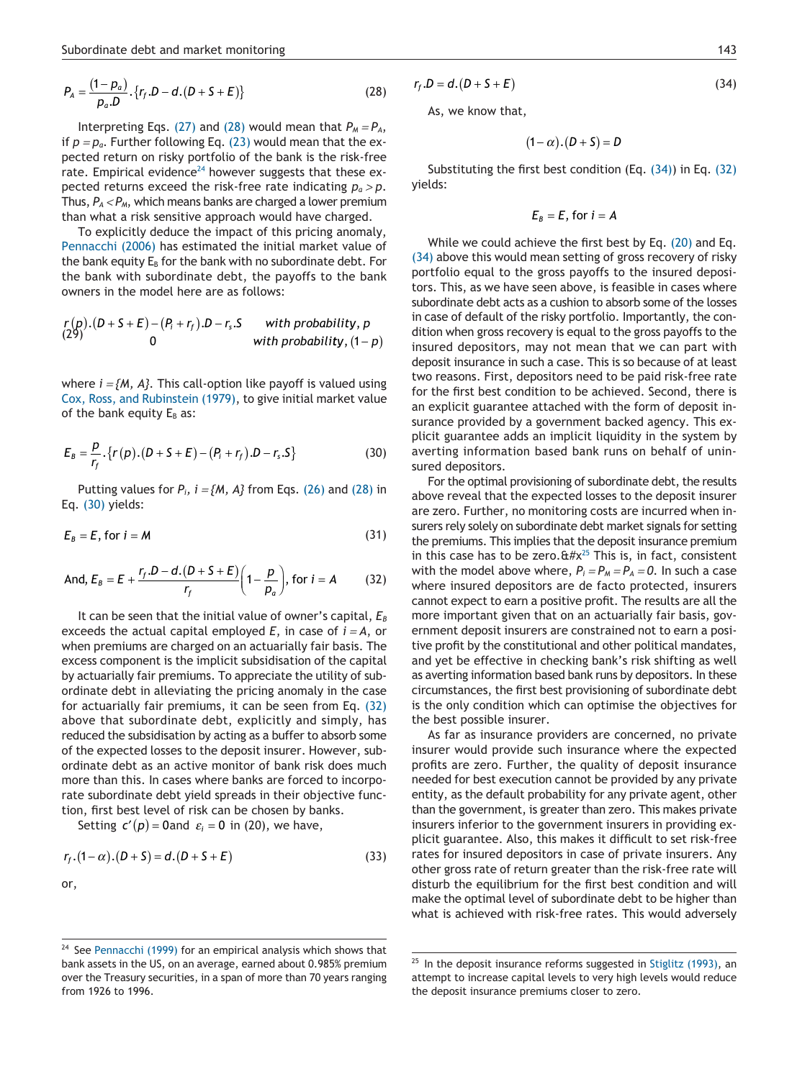<span id="page-7-0"></span>
$$
P_A = \frac{(1 - p_a)}{p_a D} \cdot \{r_f D - - d(D + S + E)\}
$$
 (28)

Interpreting Eqs. [\(27\)](#page-6-5) and [\(28\)](#page-7-0) would mean that  $P_M = P_A$ , if  $p = p_a$ . Further following Eq. [\(23\)](#page-6-3) would mean that the expected return on risky portfolio of the bank is the risk-free rate. Empirical evidence<sup>24</sup> however suggests that these expected returns exceed the risk-free rate indicating *pa > p*. Thus,  $P_A < P_M$ , which means banks are charged a lower premium than what a risk sensitive approach would have charged.

To explicitly deduce the impact of this pricing anomaly, [Pennacchi \(2006\)](#page-10-17) has estimated the initial market value of the bank equity  $E_B$  for the bank with no subordinate debt. For the bank with subordinate debt, the payoffs to the bank owners in the model here are as follows:

$$
r(p).(D+S+E)-(P_i+r_f).D-r_s.S \text{ with probability, } p
$$
  
(29) 0 \twith probability, (1-p)

where  $i = \{M, A\}$ . This call-option like payoff is valued using [Cox, Ross, and Rubinstein \(1979\),](#page-10-34) to give initial market value of the bank equity  $E_B$  as:

<span id="page-7-2"></span>
$$
E_B = \frac{p}{r_f} \cdot \{r(p) \cdot (D + S + E) - (P_i + r_f) \cdot D - r_s \cdot S\}
$$
 (30)

Putting values for  $P_i$ ,  $i = \{M, A\}$  from Eqs. [\(26\)](#page-6-6) and [\(28\)](#page-7-0) in Eq. [\(30\)](#page-7-2) yields:

$$
E_B = E, \text{ for } i = M \tag{31}
$$

<span id="page-7-3"></span>And, 
$$
E_B = E + \frac{r_f.D - d.(D + S + E)}{r_f} \left(1 - \frac{p}{p_a}\right)
$$
, for  $i = A$  (32)

It can be seen that the initial value of owner's capital,  $E_B$ exceeds the actual capital employed *E*, in case of *i = A*, or when premiums are charged on an actuarially fair basis. The excess component is the implicit subsidisation of the capital by actuarially fair premiums. To appreciate the utility of subordinate debt in alleviating the pricing anomaly in the case for actuarially fair premiums, it can be seen from Eq. [\(32\)](#page-7-3) above that subordinate debt, explicitly and simply, has reduced the subsidisation by acting as a buffer to absorb some of the expected losses to the deposit insurer. However, subordinate debt as an active monitor of bank risk does much more than this. In cases where banks are forced to incorporate subordinate debt yield spreads in their objective function, first best level of risk can be chosen by banks.

Setting  $c'(p) = 0$ and  $\varepsilon_i = 0$  in (20), we have,

$$
r_f.(1-\alpha).(D+S) = d.(D+S+E)
$$
 (33)

<span id="page-7-4"></span>
$$
r_f.D = d.(D + S + E) \tag{34}
$$

As, we know that,

$$
(1-\alpha)\cdot(D+S)=D
$$

Substituting the first best condition (Eq. [\(34\)\)](#page-7-4) in Eq. [\(32\)](#page-7-3) yields:

$$
E_B = E, \text{ for } i = A
$$

While we could achieve the first best by Eq. [\(20\)](#page-5-6) and Eq. [\(34\)](#page-7-4) above this would mean setting of gross recovery of risky portfolio equal to the gross payoffs to the insured depositors. This, as we have seen above, is feasible in cases where subordinate debt acts as a cushion to absorb some of the losses in case of default of the risky portfolio. Importantly, the condition when gross recovery is equal to the gross payoffs to the insured depositors, may not mean that we can part with deposit insurance in such a case. This is so because of at least two reasons. First, depositors need to be paid risk-free rate for the first best condition to be achieved. Second, there is an explicit guarantee attached with the form of deposit insurance provided by a government backed agency. This explicit guarantee adds an implicit liquidity in the system by averting information based bank runs on behalf of uninsured depositors.

For the optimal provisioning of subordinate debt, the results above reveal that the expected losses to the deposit insurer are zero. Further, no monitoring costs are incurred when insurers rely solely on subordinate debt market signals for setting the premiums. This implies that the deposit insurance premium in this case has to be zero.  $\frac{4}{x^{25}}$  This is, in fact, consistent with the model above where,  $P_i = P_M = P_A = 0$ . In such a case where insured depositors are de facto protected, insurers cannot expect to earn a positive profit. The results are all the more important given that on an actuarially fair basis, government deposit insurers are constrained not to earn a positive profit by the constitutional and other political mandates, and yet be effective in checking bank's risk shifting as well as averting information based bank runs by depositors. In these circumstances, the first best provisioning of subordinate debt is the only condition which can optimise the objectives for the best possible insurer.

As far as insurance providers are concerned, no private insurer would provide such insurance where the expected profits are zero. Further, the quality of deposit insurance needed for best execution cannot be provided by any private entity, as the default probability for any private agent, other than the government, is greater than zero. This makes private insurers inferior to the government insurers in providing explicit guarantee. Also, this makes it difficult to set risk-free rates for insured depositors in case of private insurers. Any other gross rate of return greater than the risk-free rate will disturb the equilibrium for the first best condition and will make the optimal level of subordinate debt to be higher than what is achieved with risk-free rates. This would adversely

<span id="page-7-1"></span> $24$  See [Pennacchi \(1999\)](#page-10-35) for an empirical analysis which shows that bank assets in the US, on an average, earned about 0.985% premium over the Treasury securities, in a span of more than 70 years ranging from 1926 to 1996.

<span id="page-7-5"></span> $25$  In the deposit insurance reforms suggested in [Stiglitz \(1993\),](#page-10-11) an attempt to increase capital levels to very high levels would reduce the deposit insurance premiums closer to zero.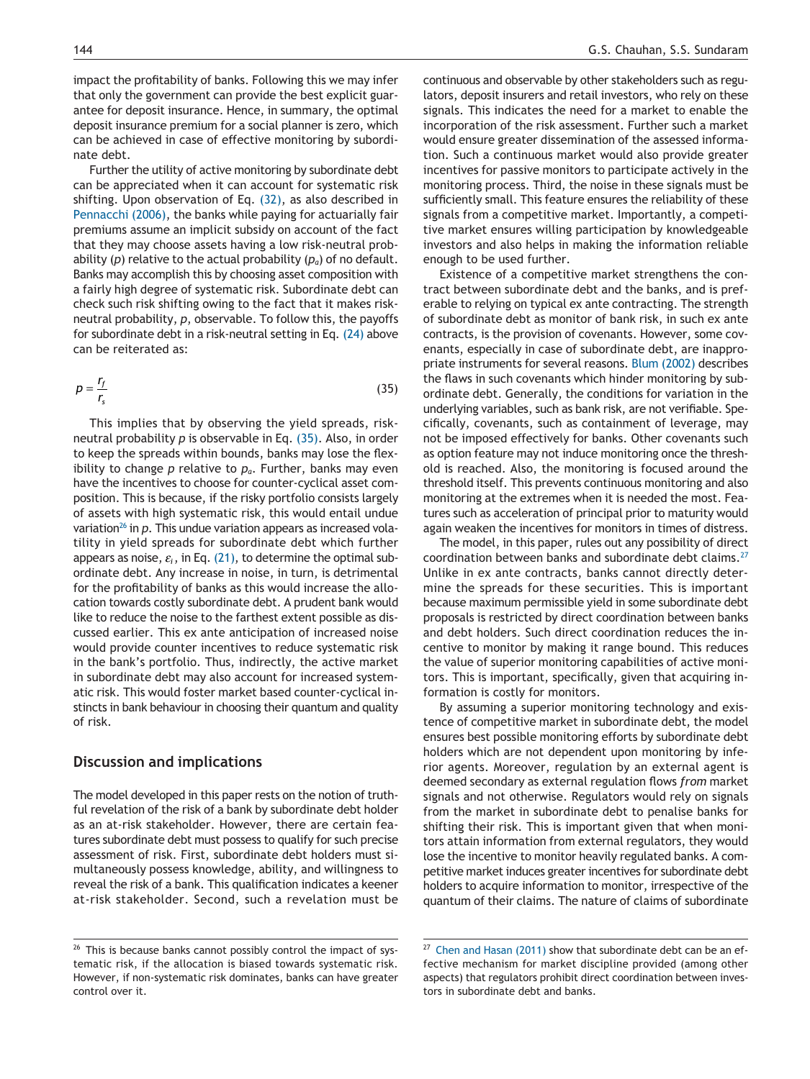impact the profitability of banks. Following this we may infer that only the government can provide the best explicit guarantee for deposit insurance. Hence, in summary, the optimal deposit insurance premium for a social planner is zero, which can be achieved in case of effective monitoring by subordinate debt.

Further the utility of active monitoring by subordinate debt can be appreciated when it can account for systematic risk shifting. Upon observation of Eq.  $(32)$ , as also described in [Pennacchi \(2006\),](#page-10-17) the banks while paying for actuarially fair premiums assume an implicit subsidy on account of the fact that they may choose assets having a low risk-neutral probability (*p*) relative to the actual probability (*pa*) of no default. Banks may accomplish this by choosing asset composition with a fairly high degree of systematic risk. Subordinate debt can check such risk shifting owing to the fact that it makes riskneutral probability, *p*, observable. To follow this, the payoffs for subordinate debt in a risk-neutral setting in Eq. [\(24\)](#page-6-7) above can be reiterated as:

<span id="page-8-0"></span>
$$
p = \frac{r_f}{r_s} \tag{35}
$$

This implies that by observing the yield spreads, riskneutral probability *p* is observable in Eq. [\(35\).](#page-8-0) Also, in order to keep the spreads within bounds, banks may lose the flexibility to change *p* relative to *pa*. Further, banks may even have the incentives to choose for counter-cyclical asset composition. This is because, if the risky portfolio consists largely of assets with high systematic risk, this would entail undue variation<sup>26</sup> in p. This undue variation appears as increased volatility in yield spreads for subordinate debt which further appears as noise, <sup>ε</sup>*i*, in Eq. [\(21\),](#page-5-5) to determine the optimal subordinate debt. Any increase in noise, in turn, is detrimental for the profitability of banks as this would increase the allocation towards costly subordinate debt. A prudent bank would like to reduce the noise to the farthest extent possible as discussed earlier. This ex ante anticipation of increased noise would provide counter incentives to reduce systematic risk in the bank's portfolio. Thus, indirectly, the active market in subordinate debt may also account for increased systematic risk. This would foster market based counter-cyclical instincts in bank behaviour in choosing their quantum and quality of risk.

#### **Discussion and implications**

The model developed in this paper rests on the notion of truthful revelation of the risk of a bank by subordinate debt holder as an at-risk stakeholder. However, there are certain features subordinate debt must possess to qualify for such precise assessment of risk. First, subordinate debt holders must simultaneously possess knowledge, ability, and willingness to reveal the risk of a bank. This qualification indicates a keener at-risk stakeholder. Second, such a revelation must be

continuous and observable by other stakeholders such as regulators, deposit insurers and retail investors, who rely on these signals. This indicates the need for a market to enable the incorporation of the risk assessment. Further such a market would ensure greater dissemination of the assessed information. Such a continuous market would also provide greater incentives for passive monitors to participate actively in the monitoring process. Third, the noise in these signals must be sufficiently small. This feature ensures the reliability of these signals from a competitive market. Importantly, a competitive market ensures willing participation by knowledgeable investors and also helps in making the information reliable enough to be used further.

Existence of a competitive market strengthens the contract between subordinate debt and the banks, and is preferable to relying on typical ex ante contracting. The strength of subordinate debt as monitor of bank risk, in such ex ante contracts, is the provision of covenants. However, some covenants, especially in case of subordinate debt, are inappropriate instruments for several reasons. [Blum \(2002\)](#page-10-19) describes the flaws in such covenants which hinder monitoring by subordinate debt. Generally, the conditions for variation in the underlying variables, such as bank risk, are not verifiable. Specifically, covenants, such as containment of leverage, may not be imposed effectively for banks. Other covenants such as option feature may not induce monitoring once the threshold is reached. Also, the monitoring is focused around the threshold itself. This prevents continuous monitoring and also monitoring at the extremes when it is needed the most. Features such as acceleration of principal prior to maturity would again weaken the incentives for monitors in times of distress.

The model, in this paper, rules out any possibility of direct coordination between banks and subordinate debt claims[.27](#page-8-2) Unlike in ex ante contracts, banks cannot directly determine the spreads for these securities. This is important because maximum permissible yield in some subordinate debt proposals is restricted by direct coordination between banks and debt holders. Such direct coordination reduces the incentive to monitor by making it range bound. This reduces the value of superior monitoring capabilities of active monitors. This is important, specifically, given that acquiring information is costly for monitors.

By assuming a superior monitoring technology and existence of competitive market in subordinate debt, the model ensures best possible monitoring efforts by subordinate debt holders which are not dependent upon monitoring by inferior agents. Moreover, regulation by an external agent is deemed secondary as external regulation flows *from* market signals and not otherwise. Regulators would rely on signals from the market in subordinate debt to penalise banks for shifting their risk. This is important given that when monitors attain information from external regulators, they would lose the incentive to monitor heavily regulated banks. A competitive market induces greater incentives for subordinate debt holders to acquire information to monitor, irrespective of the quantum of their claims. The nature of claims of subordinate

<span id="page-8-1"></span><sup>&</sup>lt;sup>26</sup> This is because banks cannot possibly control the impact of systematic risk, if the allocation is biased towards systematic risk. However, if non-systematic risk dominates, banks can have greater control over it.

<span id="page-8-2"></span> $27$  [Chen and Hasan \(2011\)](#page-10-33) show that subordinate debt can be an effective mechanism for market discipline provided (among other aspects) that regulators prohibit direct coordination between investors in subordinate debt and banks.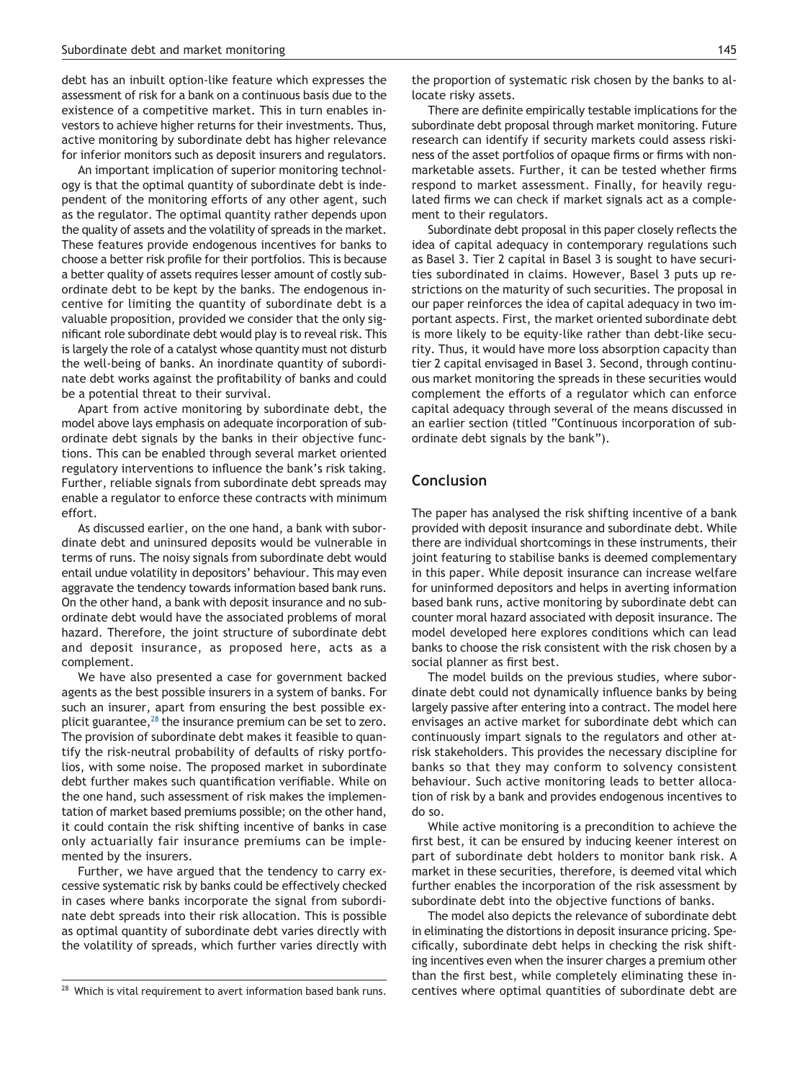debt has an inbuilt option-like feature which expresses the assessment of risk for a bank on a continuous basis due to the existence of a competitive market. This in turn enables investors to achieve higher returns for their investments. Thus, active monitoring by subordinate debt has higher relevance for inferior monitors such as deposit insurers and regulators.

An important implication of superior monitoring technology is that the optimal quantity of subordinate debt is independent of the monitoring efforts of any other agent, such as the regulator. The optimal quantity rather depends upon the quality of assets and the volatility of spreads in the market. These features provide endogenous incentives for banks to choose a better risk profile for their portfolios. This is because a better quality of assets requires lesser amount of costly subordinate debt to be kept by the banks. The endogenous incentive for limiting the quantity of subordinate debt is a valuable proposition, provided we consider that the only significant role subordinate debt would play is to reveal risk. This is largely the role of a catalyst whose quantity must not disturb the well-being of banks. An inordinate quantity of subordinate debt works against the profitability of banks and could be a potential threat to their survival.

Apart from active monitoring by subordinate debt, the model above lays emphasis on adequate incorporation of subordinate debt signals by the banks in their objective functions. This can be enabled through several market oriented regulatory interventions to influence the bank's risk taking. Further, reliable signals from subordinate debt spreads may enable a regulator to enforce these contracts with minimum effort.

As discussed earlier, on the one hand, a bank with subordinate debt and uninsured deposits would be vulnerable in terms of runs. The noisy signals from subordinate debt would entail undue volatility in depositors' behaviour. This may even aggravate the tendency towards information based bank runs. On the other hand, a bank with deposit insurance and no subordinate debt would have the associated problems of moral hazard. Therefore, the joint structure of subordinate debt and deposit insurance, as proposed here, acts as a complement.

We have also presented a case for government backed agents as the best possible insurers in a system of banks. For such an insurer, apart from ensuring the best possible explicit guarantee, $^{28}$  the insurance premium can be set to zero. The provision of subordinate debt makes it feasible to quantify the risk-neutral probability of defaults of risky portfolios, with some noise. The proposed market in subordinate debt further makes such quantification verifiable. While on the one hand, such assessment of risk makes the implementation of market based premiums possible; on the other hand, it could contain the risk shifting incentive of banks in case only actuarially fair insurance premiums can be implemented by the insurers.

Further, we have argued that the tendency to carry excessive systematic risk by banks could be effectively checked in cases where banks incorporate the signal from subordinate debt spreads into their risk allocation. This is possible as optimal quantity of subordinate debt varies directly with the volatility of spreads, which further varies directly with the proportion of systematic risk chosen by the banks to allocate risky assets.

There are definite empirically testable implications for the subordinate debt proposal through market monitoring. Future research can identify if security markets could assess riskiness of the asset portfolios of opaque firms or firms with nonmarketable assets. Further, it can be tested whether firms respond to market assessment. Finally, for heavily regulated firms we can check if market signals act as a complement to their regulators.

Subordinate debt proposal in this paper closely reflects the idea of capital adequacy in contemporary regulations such as Basel 3. Tier 2 capital in Basel 3 is sought to have securities subordinated in claims. However, Basel 3 puts up restrictions on the maturity of such securities. The proposal in our paper reinforces the idea of capital adequacy in two important aspects. First, the market oriented subordinate debt is more likely to be equity-like rather than debt-like security. Thus, it would have more loss absorption capacity than tier 2 capital envisaged in Basel 3. Second, through continuous market monitoring the spreads in these securities would complement the efforts of a regulator which can enforce capital adequacy through several of the means discussed in an earlier section (titled "Continuous incorporation of subordinate debt signals by the bank").

## **Conclusion**

The paper has analysed the risk shifting incentive of a bank provided with deposit insurance and subordinate debt. While there are individual shortcomings in these instruments, their joint featuring to stabilise banks is deemed complementary in this paper. While deposit insurance can increase welfare for uninformed depositors and helps in averting information based bank runs, active monitoring by subordinate debt can counter moral hazard associated with deposit insurance. The model developed here explores conditions which can lead banks to choose the risk consistent with the risk chosen by a social planner as first best.

The model builds on the previous studies, where subordinate debt could not dynamically influence banks by being largely passive after entering into a contract. The model here envisages an active market for subordinate debt which can continuously impart signals to the regulators and other atrisk stakeholders. This provides the necessary discipline for banks so that they may conform to solvency consistent behaviour. Such active monitoring leads to better allocation of risk by a bank and provides endogenous incentives to do so.

While active monitoring is a precondition to achieve the first best, it can be ensured by inducing keener interest on part of subordinate debt holders to monitor bank risk. A market in these securities, therefore, is deemed vital which further enables the incorporation of the risk assessment by subordinate debt into the objective functions of banks.

The model also depicts the relevance of subordinate debt in eliminating the distortions in deposit insurance pricing. Specifically, subordinate debt helps in checking the risk shifting incentives even when the insurer charges a premium other than the first best, while completely eliminating these in-<sup>28</sup> Which is vital requirement to avert information based bank runs. centives where optimal quantities of subordinate debt are

<span id="page-9-0"></span>